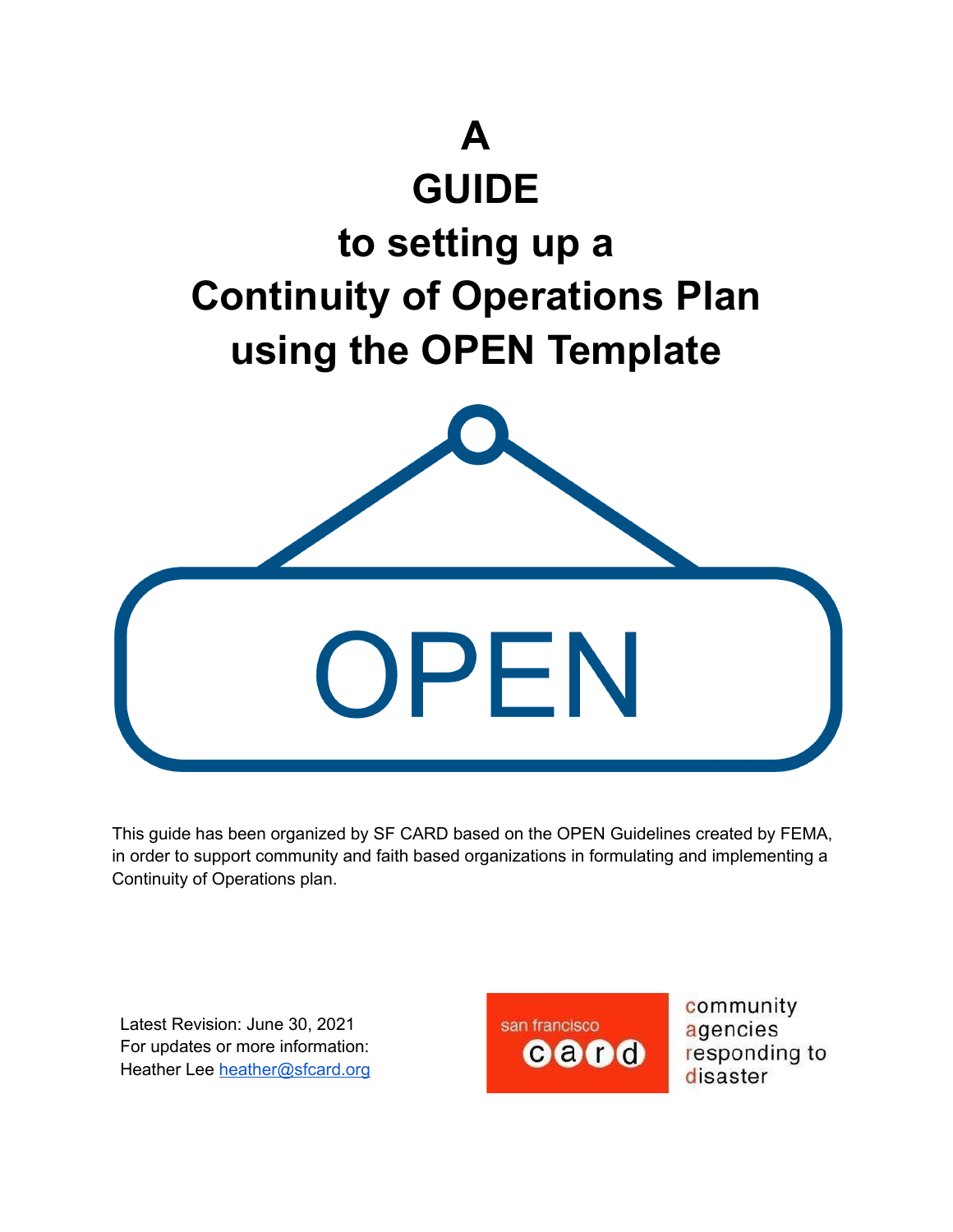

This guide has been organized by SF CARD based on the OPEN Guidelines created by FEMA, in order to support community and faith based organizations in formulating and implementing a Continuity of Operations plan.

Latest Revision: June 30, 2021 For updates or more information: Heather Lee [heather@sfcard.org](mailto:heather@sfcard.org)



community agencies responding to disaster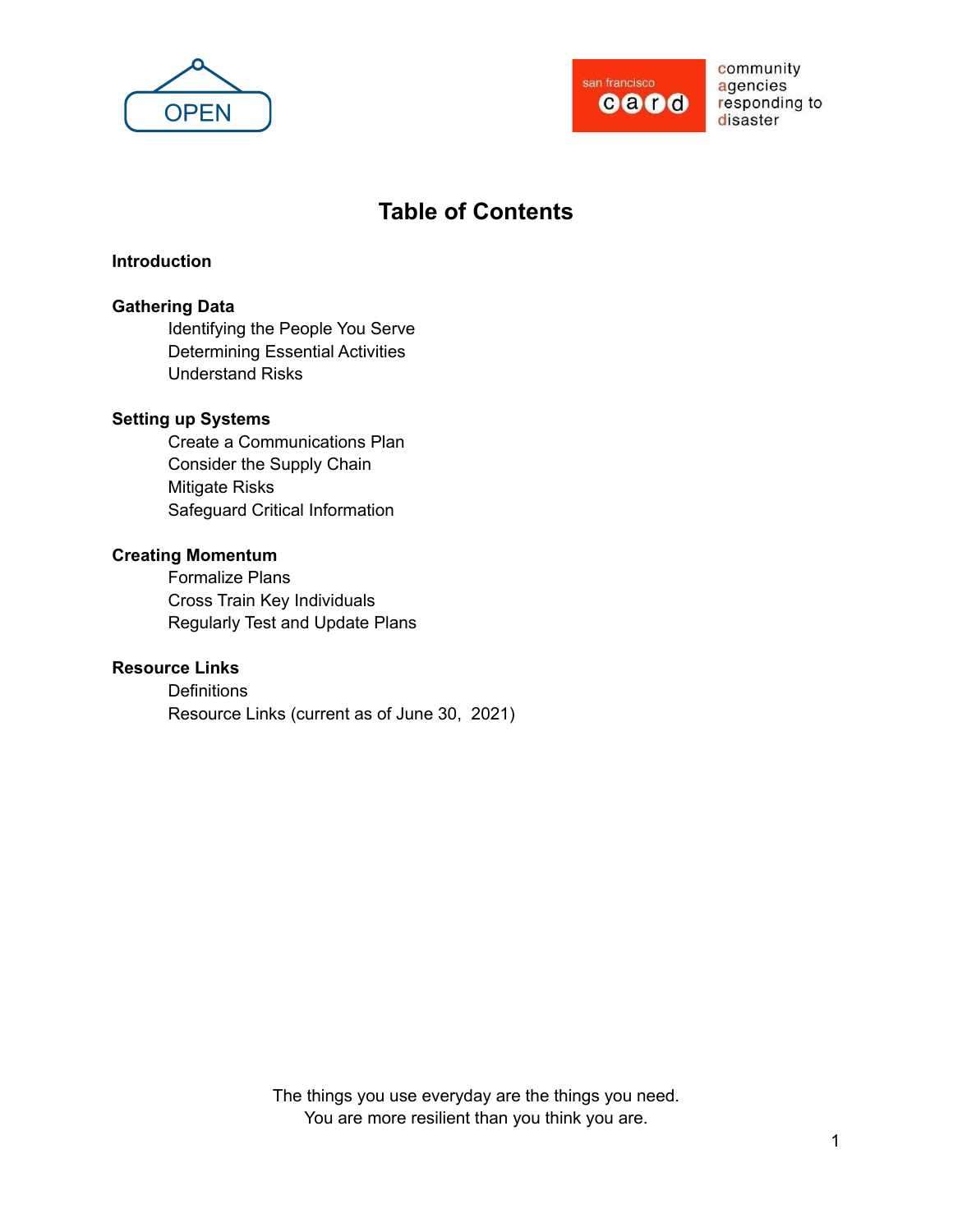



# **Table of Contents**

#### **Introduction**

#### **Gathering Data**

Identifying the People You Serve Determining Essential Activities Understand Risks

#### **Setting up Systems**

Create a Communications Plan Consider the Supply Chain Mitigate Risks Safeguard Critical Information

#### **Creating Momentum**

Formalize Plans Cross Train Key Individuals Regularly Test and Update Plans

# **Resource Links**

**Definitions** Resource Links (current as of June 30, 2021)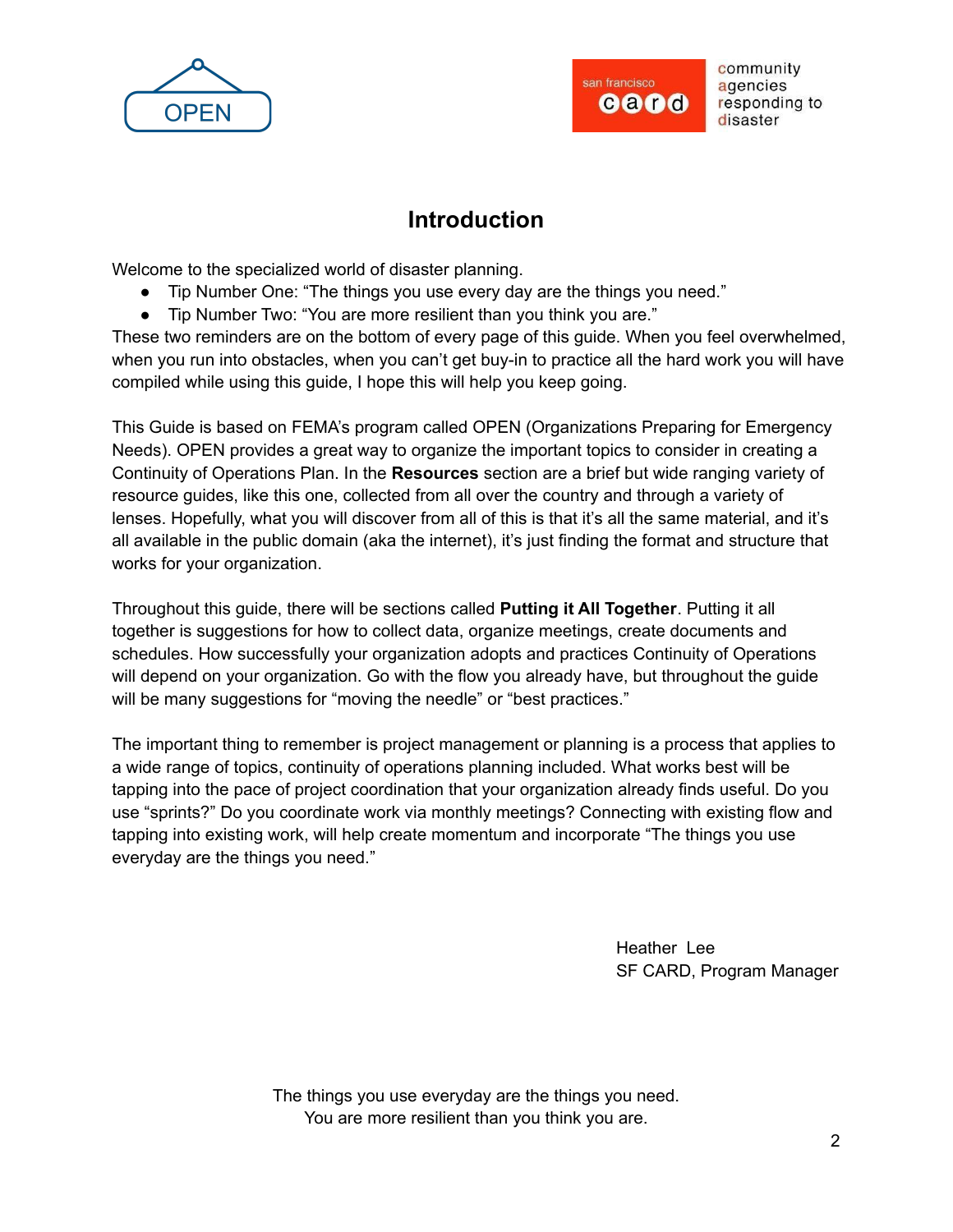



# **Introduction**

Welcome to the specialized world of disaster planning.

- Tip Number One: "The things you use every day are the things you need."
- Tip Number Two: "You are more resilient than you think you are."

These two reminders are on the bottom of every page of this guide. When you feel overwhelmed, when you run into obstacles, when you can't get buy-in to practice all the hard work you will have compiled while using this guide, I hope this will help you keep going.

This Guide is based on FEMA's program called OPEN (Organizations Preparing for Emergency Needs). OPEN provides a great way to organize the important topics to consider in creating a Continuity of Operations Plan. In the **Resources** section are a brief but wide ranging variety of resource guides, like this one, collected from all over the country and through a variety of lenses. Hopefully, what you will discover from all of this is that it's all the same material, and it's all available in the public domain (aka the internet), it's just finding the format and structure that works for your organization.

Throughout this guide, there will be sections called **Putting it All Together**. Putting it all together is suggestions for how to collect data, organize meetings, create documents and schedules. How successfully your organization adopts and practices Continuity of Operations will depend on your organization. Go with the flow you already have, but throughout the guide will be many suggestions for "moving the needle" or "best practices."

The important thing to remember is project management or planning is a process that applies to a wide range of topics, continuity of operations planning included. What works best will be tapping into the pace of project coordination that your organization already finds useful. Do you use "sprints?" Do you coordinate work via monthly meetings? Connecting with existing flow and tapping into existing work, will help create momentum and incorporate "The things you use everyday are the things you need."

> Heather Lee SF CARD, Program Manager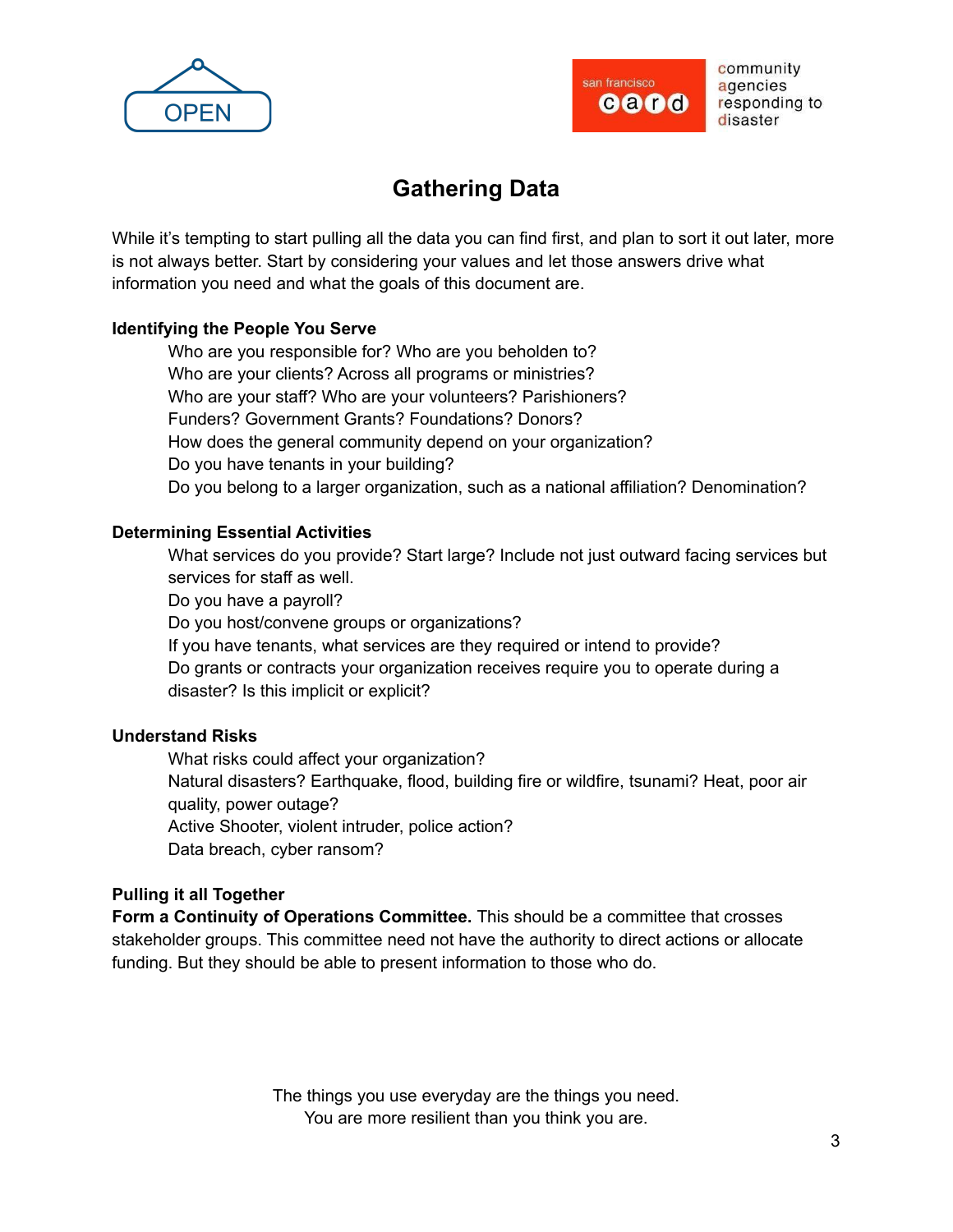



# **Gathering Data**

While it's tempting to start pulling all the data you can find first, and plan to sort it out later, more is not always better. Start by considering your values and let those answers drive what information you need and what the goals of this document are.

#### **Identifying the People You Serve**

Who are you responsible for? Who are you beholden to? Who are your clients? Across all programs or ministries? Who are your staff? Who are your volunteers? Parishioners? Funders? Government Grants? Foundations? Donors? How does the general community depend on your organization? Do you have tenants in your building? Do you belong to a larger organization, such as a national affiliation? Denomination?

# **Determining Essential Activities**

What services do you provide? Start large? Include not just outward facing services but services for staff as well.

Do you have a payroll?

Do you host/convene groups or organizations?

If you have tenants, what services are they required or intend to provide? Do grants or contracts your organization receives require you to operate during a disaster? Is this implicit or explicit?

#### **Understand Risks**

What risks could affect your organization? Natural disasters? Earthquake, flood, building fire or wildfire, tsunami? Heat, poor air quality, power outage? Active Shooter, violent intruder, police action? Data breach, cyber ransom?

#### **Pulling it all Together**

**Form a Continuity of Operations Committee.** This should be a committee that crosses stakeholder groups. This committee need not have the authority to direct actions or allocate funding. But they should be able to present information to those who do.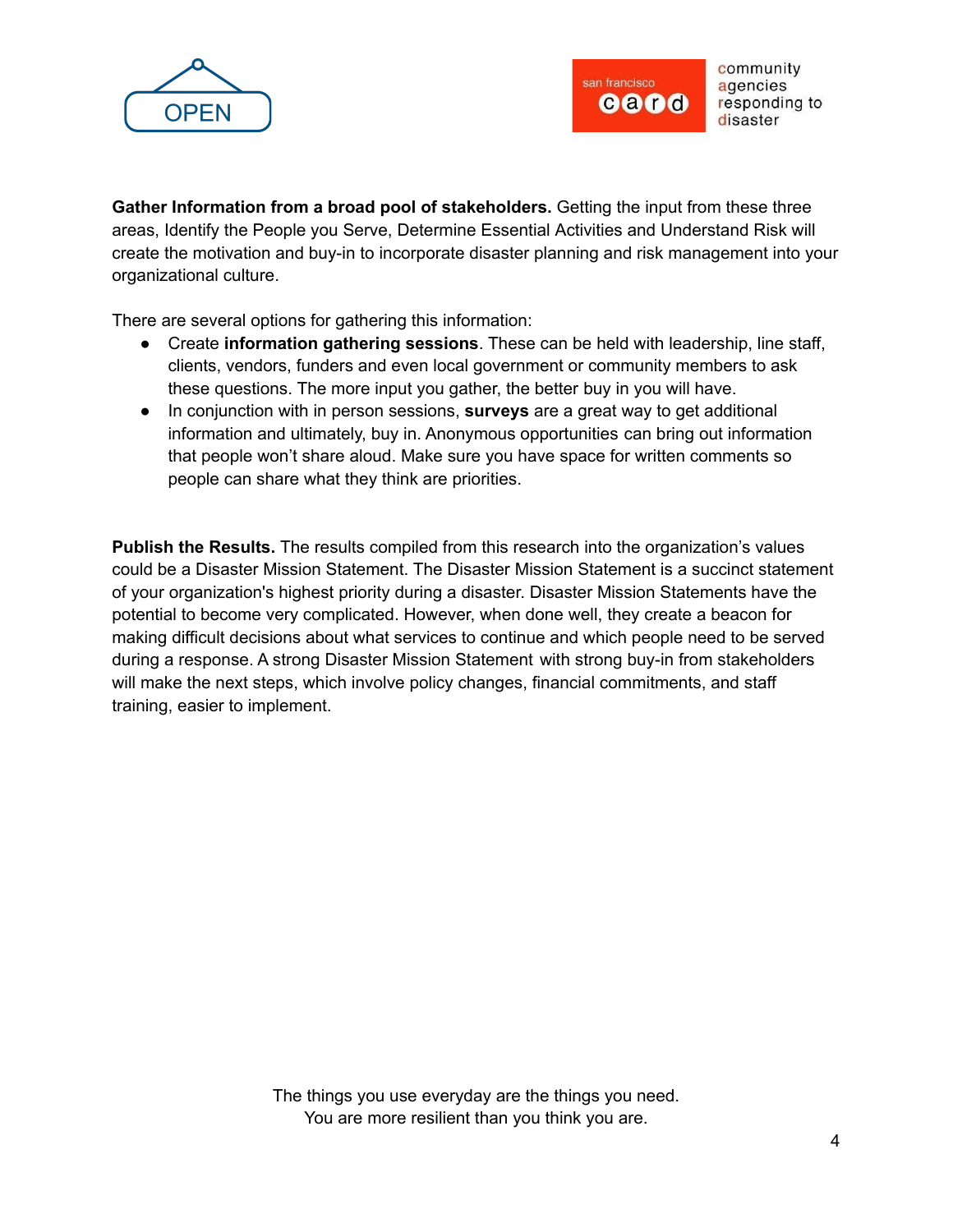



**Gather Information from a broad pool of stakeholders.** Getting the input from these three areas, Identify the People you Serve, Determine Essential Activities and Understand Risk will create the motivation and buy-in to incorporate disaster planning and risk management into your organizational culture.

There are several options for gathering this information:

- Create **information gathering sessions**. These can be held with leadership, line staff, clients, vendors, funders and even local government or community members to ask these questions. The more input you gather, the better buy in you will have.
- In conjunction with in person sessions, **surveys** are a great way to get additional information and ultimately, buy in. Anonymous opportunities can bring out information that people won't share aloud. Make sure you have space for written comments so people can share what they think are priorities.

**Publish the Results.** The results compiled from this research into the organization's values could be a Disaster Mission Statement. The Disaster Mission Statement is a succinct statement of your organization's highest priority during a disaster. Disaster Mission Statements have the potential to become very complicated. However, when done well, they create a beacon for making difficult decisions about what services to continue and which people need to be served during a response. A strong Disaster Mission Statement with strong buy-in from stakeholders will make the next steps, which involve policy changes, financial commitments, and staff training, easier to implement.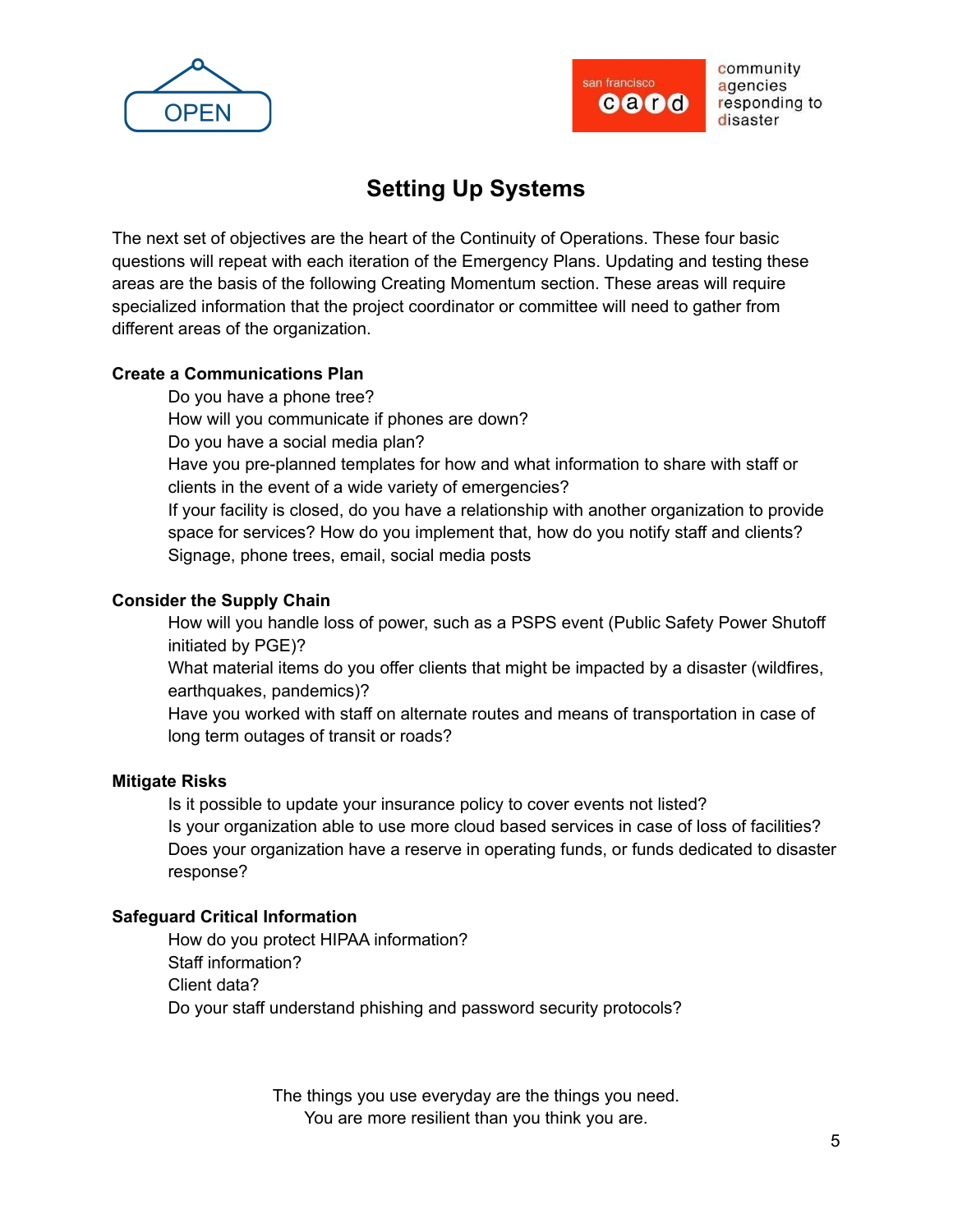



# **Setting Up Systems**

The next set of objectives are the heart of the Continuity of Operations. These four basic questions will repeat with each iteration of the Emergency Plans. Updating and testing these areas are the basis of the following Creating Momentum section. These areas will require specialized information that the project coordinator or committee will need to gather from different areas of the organization.

# **Create a Communications Plan**

Do you have a phone tree? How will you communicate if phones are down? Do you have a social media plan? Have you pre-planned templates for how and what information to share with staff or clients in the event of a wide variety of emergencies? If your facility is closed, do you have a relationship with another organization to provide space for services? How do you implement that, how do you notify staff and clients? Signage, phone trees, email, social media posts

#### **Consider the Supply Chain**

How will you handle loss of power, such as a PSPS event (Public Safety Power Shutoff initiated by PGE)?

What material items do you offer clients that might be impacted by a disaster (wildfires, earthquakes, pandemics)?

Have you worked with staff on alternate routes and means of transportation in case of long term outages of transit or roads?

# **Mitigate Risks**

Is it possible to update your insurance policy to cover events not listed? Is your organization able to use more cloud based services in case of loss of facilities? Does your organization have a reserve in operating funds, or funds dedicated to disaster response?

# **Safeguard Critical Information**

How do you protect HIPAA information? Staff information? Client data? Do your staff understand phishing and password security protocols?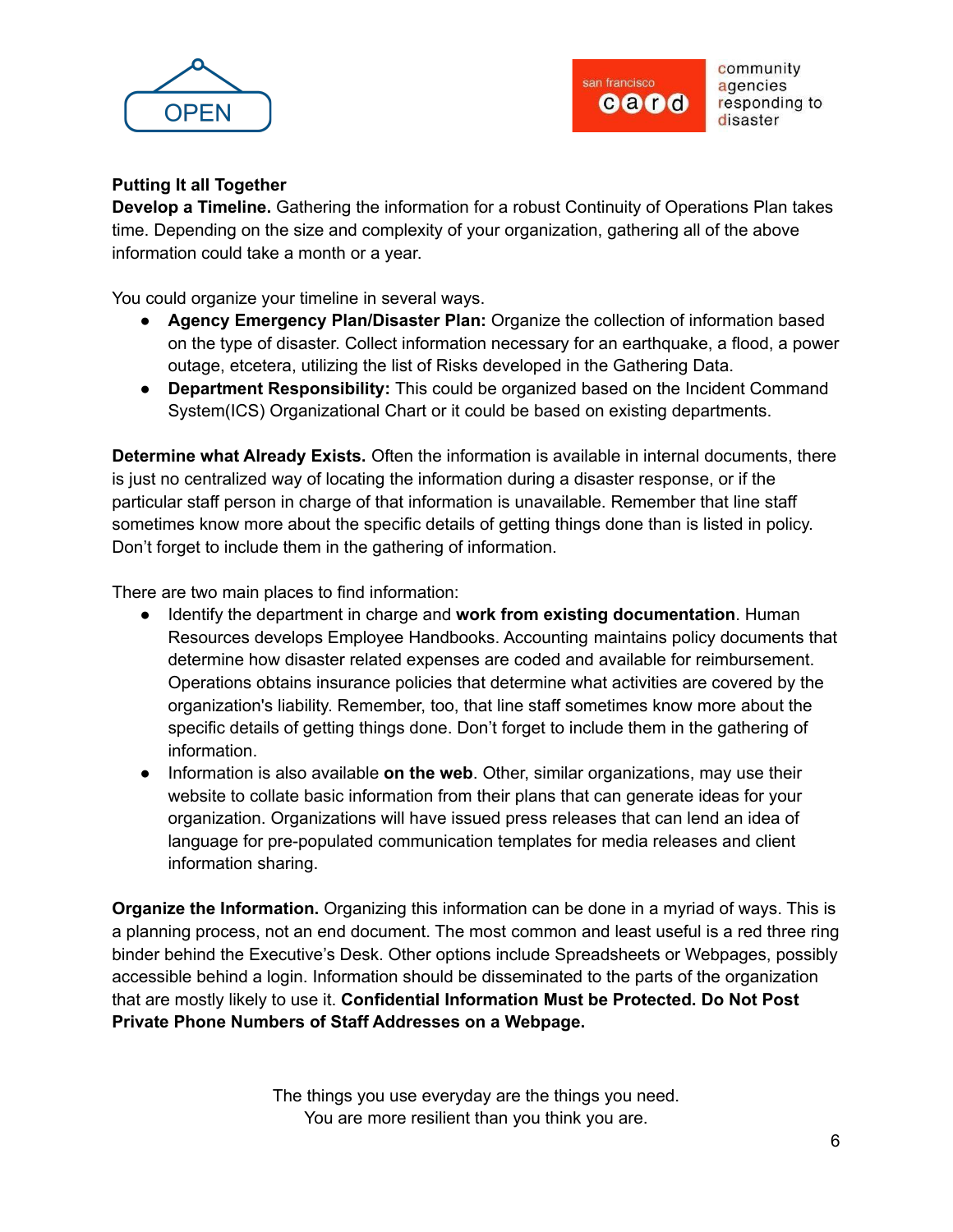



# **Putting It all Together**

**Develop a Timeline.** Gathering the information for a robust Continuity of Operations Plan takes time. Depending on the size and complexity of your organization, gathering all of the above information could take a month or a year.

You could organize your timeline in several ways.

- **Agency Emergency Plan/Disaster Plan:** Organize the collection of information based on the type of disaster. Collect information necessary for an earthquake, a flood, a power outage, etcetera, utilizing the list of Risks developed in the Gathering Data.
- **Department Responsibility:** This could be organized based on the Incident Command System(ICS) Organizational Chart or it could be based on existing departments.

**Determine what Already Exists.** Often the information is available in internal documents, there is just no centralized way of locating the information during a disaster response, or if the particular staff person in charge of that information is unavailable. Remember that line staff sometimes know more about the specific details of getting things done than is listed in policy. Don't forget to include them in the gathering of information.

There are two main places to find information:

- Identify the department in charge and **work from existing documentation**. Human Resources develops Employee Handbooks. Accounting maintains policy documents that determine how disaster related expenses are coded and available for reimbursement. Operations obtains insurance policies that determine what activities are covered by the organization's liability. Remember, too, that line staff sometimes know more about the specific details of getting things done. Don't forget to include them in the gathering of information.
- Information is also available **on the web**. Other, similar organizations, may use their website to collate basic information from their plans that can generate ideas for your organization. Organizations will have issued press releases that can lend an idea of language for pre-populated communication templates for media releases and client information sharing.

**Organize the Information.** Organizing this information can be done in a myriad of ways. This is a planning process, not an end document. The most common and least useful is a red three ring binder behind the Executive's Desk. Other options include Spreadsheets or Webpages, possibly accessible behind a login. Information should be disseminated to the parts of the organization that are mostly likely to use it. **Confidential Information Must be Protected. Do Not Post Private Phone Numbers of Staff Addresses on a Webpage.**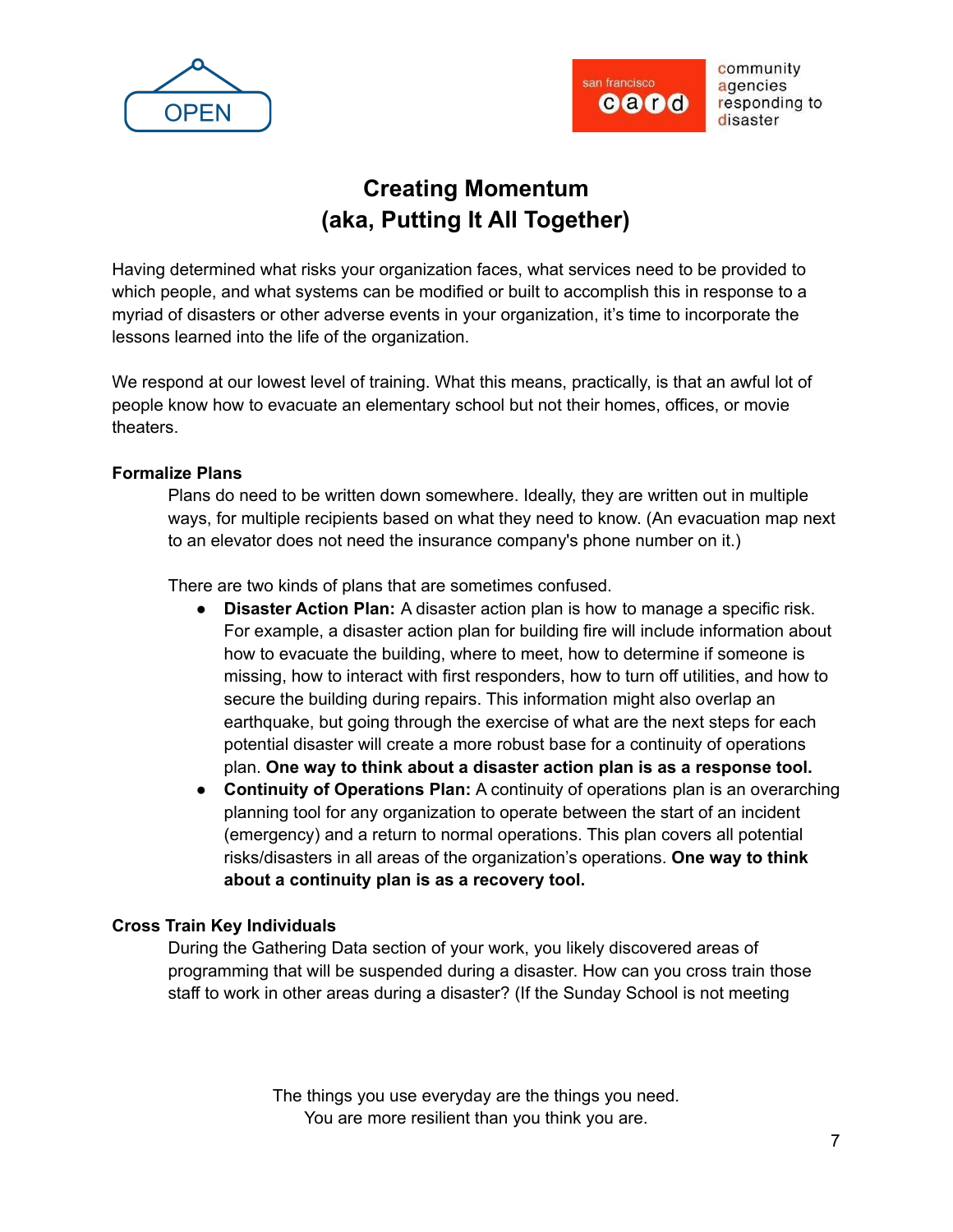



# **Creating Momentum (aka, Putting It All Together)**

Having determined what risks your organization faces, what services need to be provided to which people, and what systems can be modified or built to accomplish this in response to a myriad of disasters or other adverse events in your organization, it's time to incorporate the lessons learned into the life of the organization.

We respond at our lowest level of training. What this means, practically, is that an awful lot of people know how to evacuate an elementary school but not their homes, offices, or movie theaters.

#### **Formalize Plans**

Plans do need to be written down somewhere. Ideally, they are written out in multiple ways, for multiple recipients based on what they need to know. (An evacuation map next to an elevator does not need the insurance company's phone number on it.)

There are two kinds of plans that are sometimes confused.

- **Disaster Action Plan:** A disaster action plan is how to manage a specific risk. For example, a disaster action plan for building fire will include information about how to evacuate the building, where to meet, how to determine if someone is missing, how to interact with first responders, how to turn off utilities, and how to secure the building during repairs. This information might also overlap an earthquake, but going through the exercise of what are the next steps for each potential disaster will create a more robust base for a continuity of operations plan. **One way to think about a disaster action plan is as a response tool.**
- **Continuity of Operations Plan:** A continuity of operations plan is an overarching planning tool for any organization to operate between the start of an incident (emergency) and a return to normal operations. This plan covers all potential risks/disasters in all areas of the organization's operations. **One way to think about a continuity plan is as a recovery tool.**

#### **Cross Train Key Individuals**

During the Gathering Data section of your work, you likely discovered areas of programming that will be suspended during a disaster. How can you cross train those staff to work in other areas during a disaster? (If the Sunday School is not meeting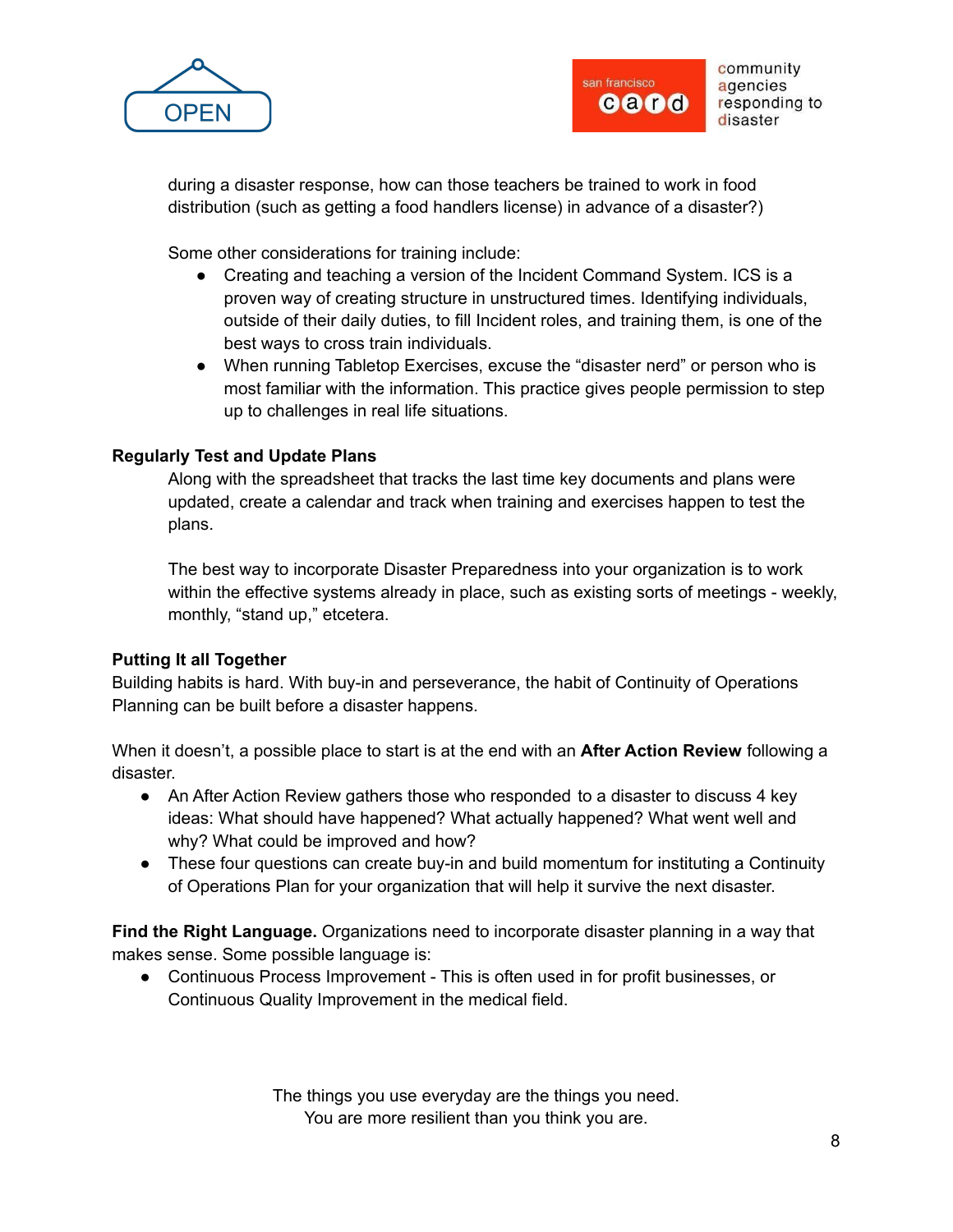



during a disaster response, how can those teachers be trained to work in food distribution (such as getting a food handlers license) in advance of a disaster?)

Some other considerations for training include:

- Creating and teaching a version of the Incident Command System. ICS is a proven way of creating structure in unstructured times. Identifying individuals, outside of their daily duties, to fill Incident roles, and training them, is one of the best ways to cross train individuals.
- When running Tabletop Exercises, excuse the "disaster nerd" or person who is most familiar with the information. This practice gives people permission to step up to challenges in real life situations.

# **Regularly Test and Update Plans**

Along with the spreadsheet that tracks the last time key documents and plans were updated, create a calendar and track when training and exercises happen to test the plans.

The best way to incorporate Disaster Preparedness into your organization is to work within the effective systems already in place, such as existing sorts of meetings - weekly, monthly, "stand up," etcetera.

# **Putting It all Together**

Building habits is hard. With buy-in and perseverance, the habit of Continuity of Operations Planning can be built before a disaster happens.

When it doesn't, a possible place to start is at the end with an **After Action Review** following a disaster.

- An After Action Review gathers those who responded to a disaster to discuss 4 key ideas: What should have happened? What actually happened? What went well and why? What could be improved and how?
- These four questions can create buy-in and build momentum for instituting a Continuity of Operations Plan for your organization that will help it survive the next disaster.

**Find the Right Language.** Organizations need to incorporate disaster planning in a way that makes sense. Some possible language is:

● Continuous Process Improvement - This is often used in for profit businesses, or Continuous Quality Improvement in the medical field.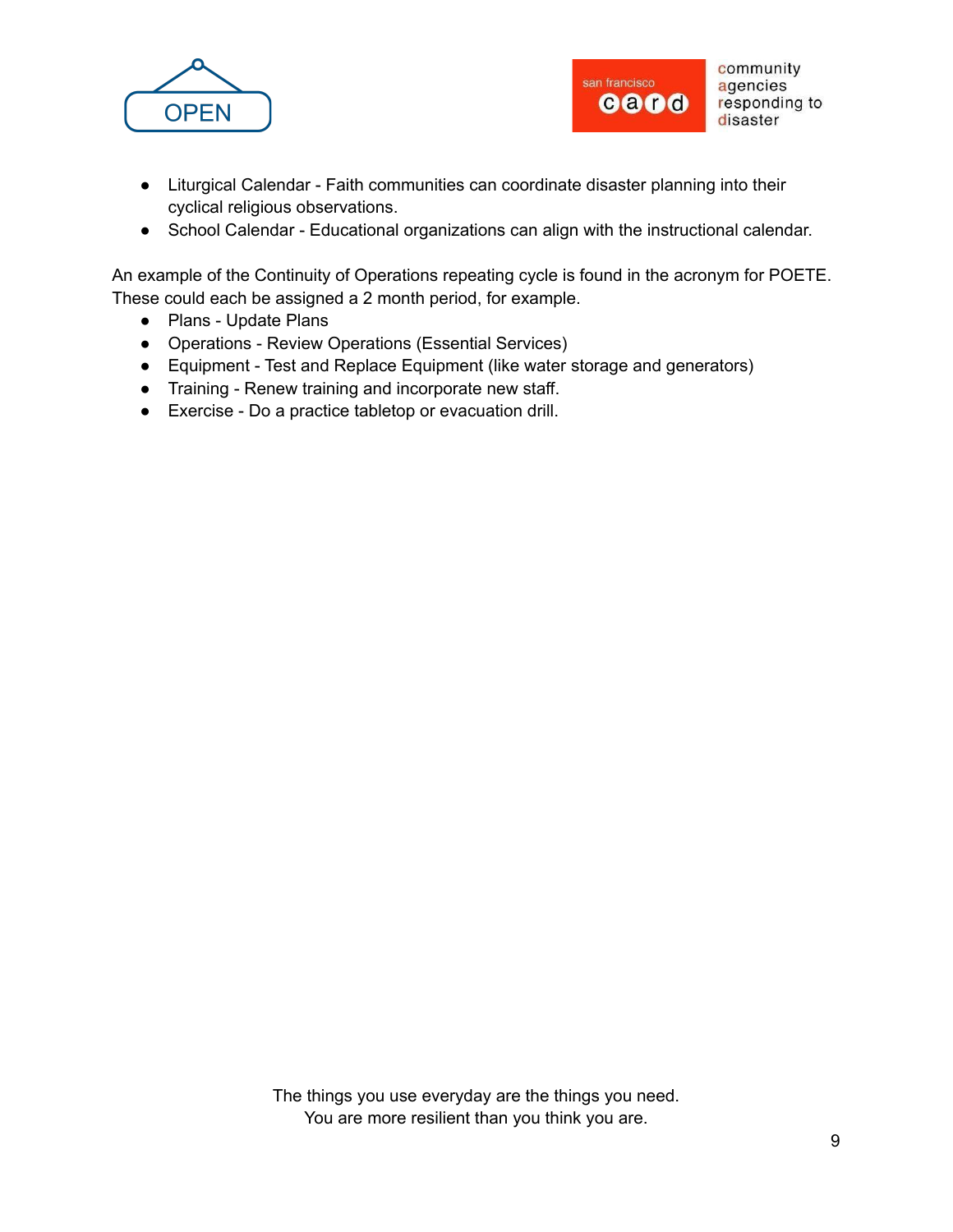



- Liturgical Calendar Faith communities can coordinate disaster planning into their cyclical religious observations.
- School Calendar Educational organizations can align with the instructional calendar.

An example of the Continuity of Operations repeating cycle is found in the acronym for POETE. These could each be assigned a 2 month period, for example.

- Plans Update Plans
- Operations Review Operations (Essential Services)
- Equipment Test and Replace Equipment (like water storage and generators)
- Training Renew training and incorporate new staff.
- Exercise Do a practice tabletop or evacuation drill.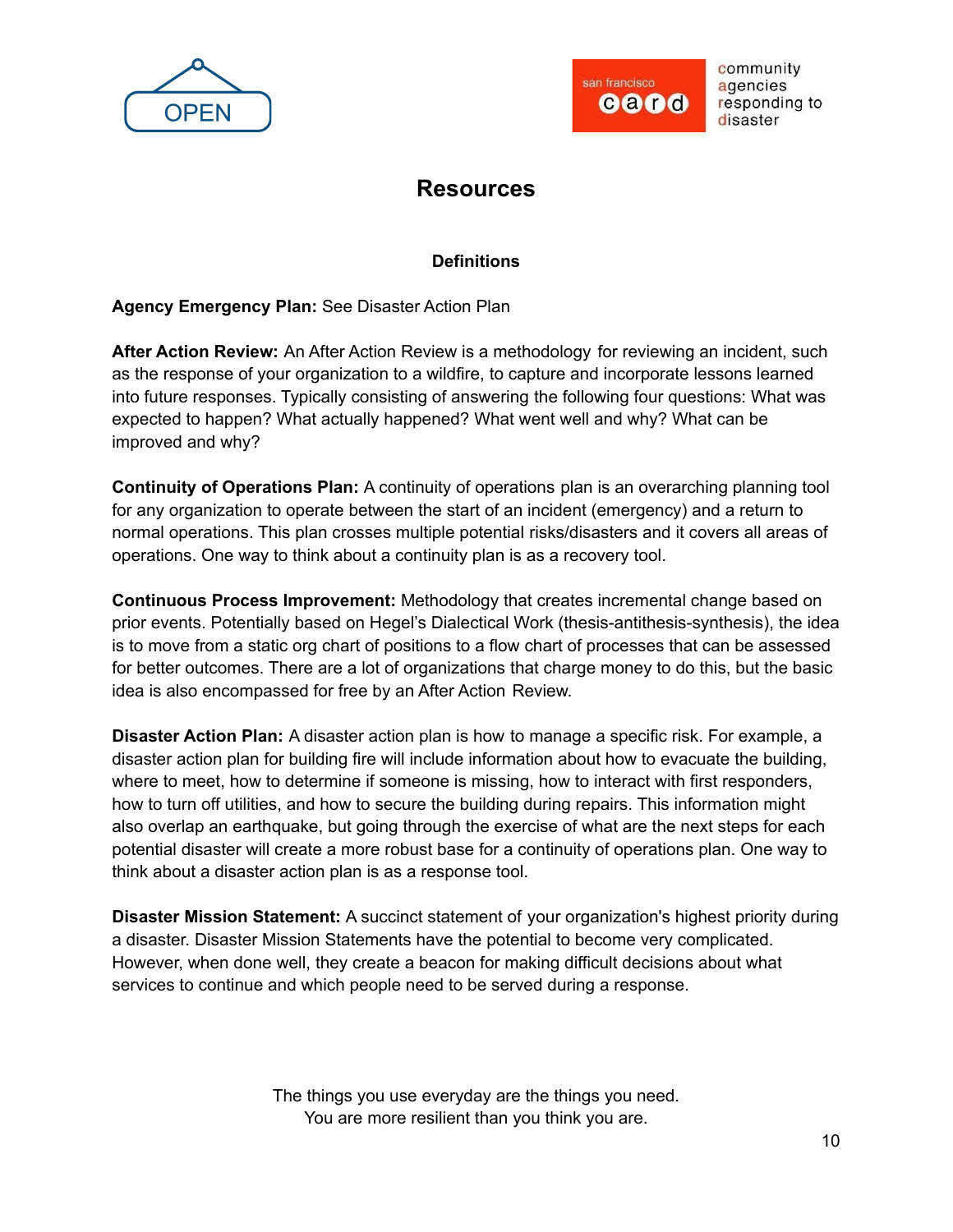



# **Resources**

# **Definitions**

**Agency Emergency Plan:** See Disaster Action Plan

**After Action Review:** An After Action Review is a methodology for reviewing an incident, such as the response of your organization to a wildfire, to capture and incorporate lessons learned into future responses. Typically consisting of answering the following four questions: What was expected to happen? What actually happened? What went well and why? What can be improved and why?

**Continuity of Operations Plan:** A continuity of operations plan is an overarching planning tool for any organization to operate between the start of an incident (emergency) and a return to normal operations. This plan crosses multiple potential risks/disasters and it covers all areas of operations. One way to think about a continuity plan is as a recovery tool.

**Continuous Process Improvement:** Methodology that creates incremental change based on prior events. Potentially based on Hegel's Dialectical Work (thesis-antithesis-synthesis), the idea is to move from a static org chart of positions to a flow chart of processes that can be assessed for better outcomes. There are a lot of organizations that charge money to do this, but the basic idea is also encompassed for free by an After Action Review.

**Disaster Action Plan:** A disaster action plan is how to manage a specific risk. For example, a disaster action plan for building fire will include information about how to evacuate the building, where to meet, how to determine if someone is missing, how to interact with first responders, how to turn off utilities, and how to secure the building during repairs. This information might also overlap an earthquake, but going through the exercise of what are the next steps for each potential disaster will create a more robust base for a continuity of operations plan. One way to think about a disaster action plan is as a response tool.

**Disaster Mission Statement:** A succinct statement of your organization's highest priority during a disaster. Disaster Mission Statements have the potential to become very complicated. However, when done well, they create a beacon for making difficult decisions about what services to continue and which people need to be served during a response.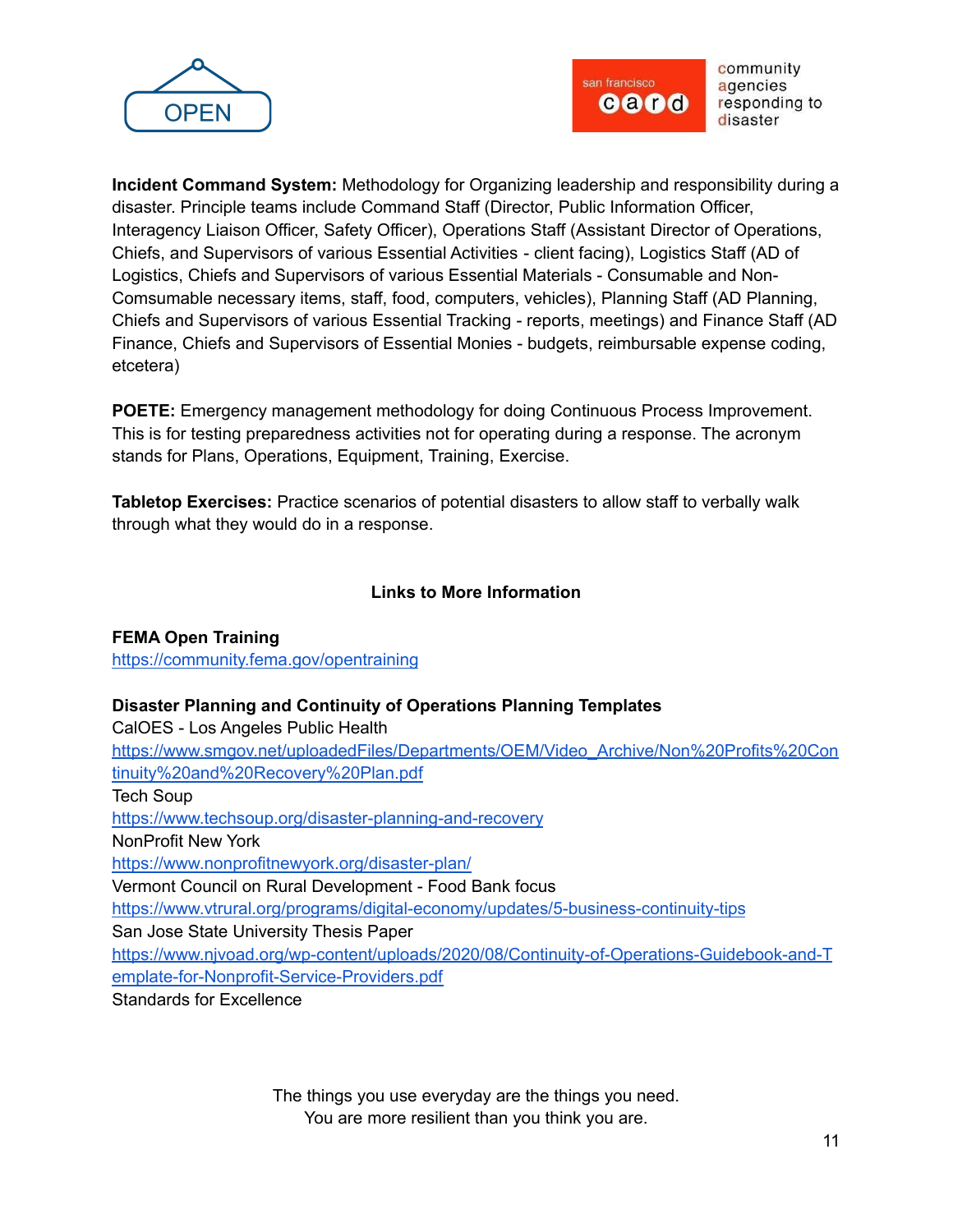



**Incident Command System:** Methodology for Organizing leadership and responsibility during a disaster. Principle teams include Command Staff (Director, Public Information Officer, Interagency Liaison Officer, Safety Officer), Operations Staff (Assistant Director of Operations, Chiefs, and Supervisors of various Essential Activities - client facing), Logistics Staff (AD of Logistics, Chiefs and Supervisors of various Essential Materials - Consumable and Non-Comsumable necessary items, staff, food, computers, vehicles), Planning Staff (AD Planning, Chiefs and Supervisors of various Essential Tracking - reports, meetings) and Finance Staff (AD Finance, Chiefs and Supervisors of Essential Monies - budgets, reimbursable expense coding, etcetera)

**POETE:** Emergency management methodology for doing Continuous Process Improvement. This is for testing preparedness activities not for operating during a response. The acronym stands for Plans, Operations, Equipment, Training, Exercise.

**Tabletop Exercises:** Practice scenarios of potential disasters to allow staff to verbally walk through what they would do in a response.

# **Links to More Information**

**FEMA Open Training** <https://community.fema.gov/opentraining>

# **Disaster Planning and Continuity of Operations Planning Templates**

CalOES - Los Angeles Public Health

[https://www.smgov.net/uploadedFiles/Departments/OEM/Video\\_Archive/Non%20Profits%20Con](https://www.smgov.net/uploadedFiles/Departments/OEM/Video_Archive/Non%20Profits%20Continuity%20and%20Recovery%20Plan.pdf) [tinuity%20and%20Recovery%20Plan.pdf](https://www.smgov.net/uploadedFiles/Departments/OEM/Video_Archive/Non%20Profits%20Continuity%20and%20Recovery%20Plan.pdf)

Tech Soup

<https://www.techsoup.org/disaster-planning-and-recovery>

NonProfit New York

<https://www.nonprofitnewyork.org/disaster-plan/>

Vermont Council on Rural Development - Food Bank focus

<https://www.vtrural.org/programs/digital-economy/updates/5-business-continuity-tips>

San Jose State University Thesis Paper

[https://www.njvoad.org/wp-content/uploads/2020/08/Continuity-of-Operations-Guidebook-and-T](https://www.njvoad.org/wp-content/uploads/2020/08/Continuity-of-Operations-Guidebook-and-Template-for-Nonprofit-Service-Providers.pdf) [emplate-for-Nonprofit-Service-Providers.pdf](https://www.njvoad.org/wp-content/uploads/2020/08/Continuity-of-Operations-Guidebook-and-Template-for-Nonprofit-Service-Providers.pdf)

Standards for Excellence